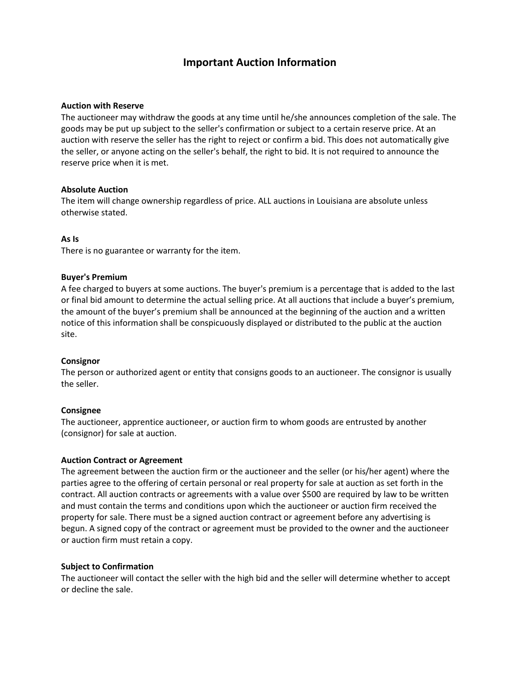# **Important Auction Information**

#### **Auction with Reserve**

The auctioneer may withdraw the goods at any time until he/she announces completion of the sale. The goods may be put up subject to the seller's confirmation or subject to a certain reserve price. At an auction with reserve the seller has the right to reject or confirm a bid. This does not automatically give the seller, or anyone acting on the seller's behalf, the right to bid. It is not required to announce the reserve price when it is met.

### **Absolute Auction**

The item will change ownership regardless of price. ALL auctions in Louisiana are absolute unless otherwise stated.

#### **As Is**

There is no guarantee or warranty for the item.

#### **Buyer's Premium**

A fee charged to buyers at some auctions. The buyer's premium is a percentage that is added to the last or final bid amount to determine the actual selling price. At all auctions that include a buyer's premium, the amount of the buyer's premium shall be announced at the beginning of the auction and a written notice of this information shall be conspicuously displayed or distributed to the public at the auction site.

#### **Consignor**

The person or authorized agent or entity that consigns goods to an auctioneer. The consignor is usually the seller.

#### **Consignee**

The auctioneer, apprentice auctioneer, or auction firm to whom goods are entrusted by another (consignor) for sale at auction.

### **Auction Contract or Agreement**

The agreement between the auction firm or the auctioneer and the seller (or his/her agent) where the parties agree to the offering of certain personal or real property for sale at auction as set forth in the contract. All auction contracts or agreements with a value over \$500 are required by law to be written and must contain the terms and conditions upon which the auctioneer or auction firm received the property for sale. There must be a signed auction contract or agreement before any advertising is begun. A signed copy of the contract or agreement must be provided to the owner and the auctioneer or auction firm must retain a copy.

### **Subject to Confirmation**

The auctioneer will contact the seller with the high bid and the seller will determine whether to accept or decline the sale.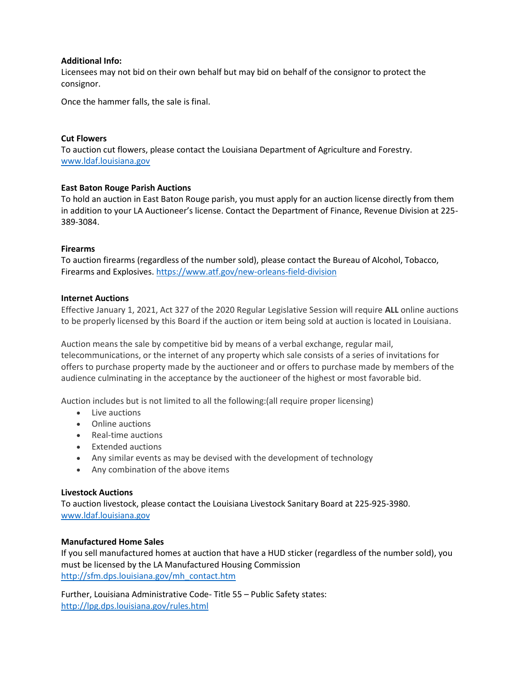### **Additional Info:**

Licensees may not bid on their own behalf but may bid on behalf of the consignor to protect the consignor.

Once the hammer falls, the sale is final.

# **Cut Flowers**

To auction cut flowers, please contact the Louisiana Department of Agriculture and Forestry. [www.ldaf.louisiana.gov](http://www.ldaf.louisiana.gov/)

# **East Baton Rouge Parish Auctions**

To hold an auction in East Baton Rouge parish, you must apply for an auction license directly from them in addition to your LA Auctioneer's license. Contact the Department of Finance, Revenue Division at 225- 389-3084.

# **Firearms**

To auction firearms (regardless of the number sold), please contact the Bureau of Alcohol, Tobacco, Firearms and Explosives.<https://www.atf.gov/new-orleans-field-division>

### **Internet Auctions**

Effective January 1, 2021, Act 327 of the 2020 Regular Legislative Session will require **ALL** online auctions to be properly licensed by this Board if the auction or item being sold at auction is located in Louisiana.

Auction means the sale by competitive bid by means of a verbal exchange, regular mail, telecommunications, or the internet of any property which sale consists of a series of invitations for offers to purchase property made by the auctioneer and or offers to purchase made by members of the audience culminating in the acceptance by the auctioneer of the highest or most favorable bid.

Auction includes but is not limited to all the following:(all require proper licensing)

- Live auctions
- Online auctions
- Real-time auctions
- Extended auctions
- Any similar events as may be devised with the development of technology
- Any combination of the above items

### **Livestock Auctions**

To auction livestock, please contact the Louisiana Livestock Sanitary Board at 225-925-3980. [www.ldaf.louisiana.gov](http://www.ldaf.louisiana.gov/)

# **Manufactured Home Sales**

If you sell manufactured homes at auction that have a HUD sticker (regardless of the number sold), you must be licensed by the LA Manufactured Housing Commission [http://sfm.dps.louisiana.gov/mh\\_contact.htm](http://sfm.dps.louisiana.gov/mh_contact.htm)

Further, Louisiana Administrative Code- Title 55 – Public Safety states: <http://lpg.dps.louisiana.gov/rules.html>